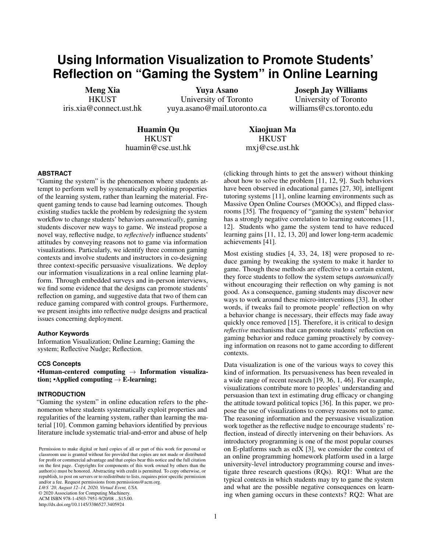# **Using Information Visualization to Promote Students' Reflection on "Gaming the System" in Online Learning**

Meng Xia **HKUST** iris.xia@connect.ust.hk

Yuya Asano University of Toronto yuya.asano@mail.utoronto.ca

Joseph Jay Williams University of Toronto williams@cs.toronto.edu

Huamin Qu **HKUST** huamin@cse.ust.hk

Xiaojuan Ma **HKUST** mxj@cse.ust.hk

# **ABSTRACT**

"Gaming the system" is the phenomenon where students attempt to perform well by systematically exploiting properties of the learning system, rather than learning the material. Frequent gaming tends to cause bad learning outcomes. Though existing studies tackle the problem by redesigning the system workflow to change students' behaviors *automatically*, gaming students discover new ways to game. We instead propose a novel way, reflective nudge, to *reflectively* influence students' attitudes by conveying reasons not to game via information visualizations. Particularly, we identify three common gaming contexts and involve students and instructors in co-designing three context-specific persuasive visualizations. We deploy our information visualizations in a real online learning platform. Through embedded surveys and in-person interviews, we find some evidence that the designs can promote students' reflection on gaming, and suggestive data that two of them can reduce gaming compared with control groups. Furthermore, we present insights into reflective nudge designs and practical issues concerning deployment.

# **Author Keywords**

Information Visualization; Online Learning; Gaming the system; Reflective Nudge; Reflection.

# **CCS Concepts**

•Human-centered computing  $\rightarrow$  Information visualization; •Applied computing  $\rightarrow$  E-learning;

# **INTRODUCTION**

"Gaming the system" in online education refers to the phenomenon where students systematically exploit properties and regularities of the learning system, rather than learning the material [\[10\]](#page-10-0). Common gaming behaviors identified by previous literature include systematic trial-and-error and abuse of help

© 2020 Association for Computing Machinery.

ACM ISBN 978-1-4503-7951-9/20/08 ...\$15.00.

http://dx.doi.org/10.1145/3386527.3405924

(clicking through hints to get the answer) without thinking about how to solve the problem [\[11,](#page-10-1) [12,](#page-10-2) [9\]](#page-10-3). Such behaviors have been observed in educational games [\[27,](#page-11-0) [30\]](#page-11-1), intelligent tutoring systems [\[11\]](#page-10-1), online learning environments such as Massive Open Online Courses (MOOCs), and flipped classrooms [\[35\]](#page-11-2). The frequency of "gaming the system" behavior has a strongly negative correlation to learning outcomes [\[11,](#page-10-1) [12\]](#page-10-2). Students who game the system tend to have reduced learning gains [\[11,](#page-10-1) [12,](#page-10-2) [13,](#page-10-4) [20\]](#page-10-5) and lower long-term academic achievements [\[41\]](#page-11-3).

Most existing studies [\[4,](#page-10-6) [33,](#page-11-4) [24,](#page-11-5) [18\]](#page-10-7) were proposed to reduce gaming by tweaking the system to make it harder to game. Though these methods are effective to a certain extent, they force students to follow the system setups *automatically* without encouraging their reflection on why gaming is not good. As a consequence, gaming students may discover new ways to work around these micro-interventions [\[33\]](#page-11-4). In other words, if tweaks fail to promote people' reflection on why a behavior change is necessary, their effects may fade away quickly once removed [\[15\]](#page-10-8). Therefore, it is critical to design *reflective* mechanisms that can promote students' reflection on gaming behavior and reduce gaming proactively by conveying information on reasons not to game according to different contexts.

Data visualization is one of the various ways to covey this kind of information. Its persuasiveness has been revealed in a wide range of recent research [\[19,](#page-10-9) [36,](#page-11-6) [1,](#page-10-10) [46\]](#page-11-7). For example, visualizations contribute more to peoples' understanding and persuasion than text in estimating drug efficacy or changing the attitude toward political topics [\[36\]](#page-11-6). In this paper, we propose the use of visualizations to convey reasons not to game. The reasoning information and the persuasive visualization work together as the reflective nudge to encourage students' reflection, instead of directly intervening on their behaviors. As introductory programming is one of the most popular courses on E-platforms such as edX [\[3\]](#page-10-11), we consider the context of an online programming homework platform used in a large university-level introductory programming course and investigate three research questions (RQs). RQ1: What are the typical contexts in which students may try to game the system and what are the possible negative consequences on learning when gaming occurs in these contexts? RQ2: What are

Permission to make digital or hard copies of all or part of this work for personal or classroom use is granted without fee provided that copies are not made or distributed for profit or commercial advantage and that copies bear this notice and the full citation on the first page. Copyrights for components of this work owned by others than the author(s) must be honored. Abstracting with credit is permitted. To copy otherwise, or republish, to post on servers or to redistribute to lists, requires prior specific permission and/or a fee. Request permissions from permissions@acm.org. *L@S '20, August 12–14, 2020, Virtual Event, USA.*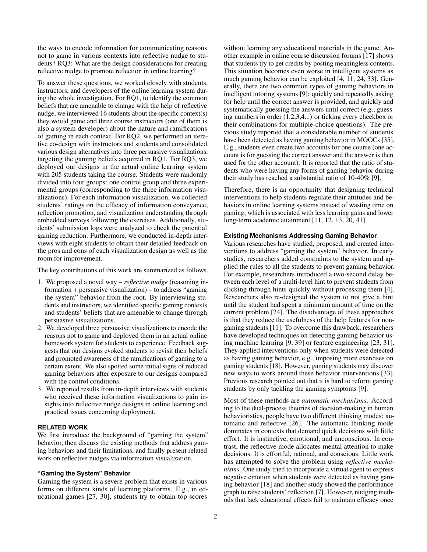the ways to encode information for communicating reasons not to game in various contexts into reflective nudge to students? RQ3: What are the design considerations for creating reflective nudge to promote reflection in online learning?

To answer these questions, we worked closely with students, instructors, and developers of the online learning system during the whole investigation. For RQ1, to identify the common beliefs that are amenable to change with the help of reflective nudge, we interviewed 16 students about the specific context(s) they would game and three course instructors (one of them is also a system developer) about the nature and ramifications of gaming in each context. For RQ2, we performed an iterative co-design with instructors and students and consolidated various design alternatives into three persuasive visualizations, targeting the gaming beliefs acquired in RQ1. For RQ3, we deployed our designs in the actual online learning system with 205 students taking the course. Students were randomly divided into four groups: one control group and three experimental groups (corresponding to the three information visualizations). For each information visualization, we collected students' ratings on the efficacy of information conveyance, reflection promotion, and visualization understanding through embedded surveys following the exercises. Additionally, students' submission logs were analyzed to check the potential gaming reduction. Furthermore, we conducted in-depth interviews with eight students to obtain their detailed feedback on the pros and cons of each visualization design as well as the room for improvement.

The key contributions of this work are summarized as follows.

- 1. We proposed a novel way *reflective nudge* (reasoning information + persuasive visualization) – to address "gaming the system" behavior from the root. By interviewing students and instructors, we identified specific gaming contexts and students' beliefs that are amenable to change through persuasive visualizations.
- 2. We developed three persuasive visualizations to encode the reasons not to game and deployed them in an actual online homework system for students to experience. Feedback suggests that our designs evoked students to revisit their beliefs and promoted awareness of the ramifications of gaming to a certain extent. We also spotted some initial signs of reduced gaming behaviors after exposure to our designs compared with the control conditions.
- 3. We reported results from in-depth interviews with students who received these information visualizations to gain insights into reflective nudge designs in online learning and practical issues concerning deployment.

# **RELATED WORK**

We first introduce the background of "gaming the system" behavior, then discuss the existing methods that address gaming behaviors and their limitations, and finally present related work on reflective nudges via information visualization.

## **"Gaming the System" Behavior**

Gaming the system is a severe problem that exists in various forms on different kinds of learning platforms. E.g., in educational games [\[27,](#page-11-0) [30\]](#page-11-1), students try to obtain top scores

without learning any educational materials in the game. Another example in online course discussion forums [\[17\]](#page-10-12) shows that students try to get credits by posting meaningless contents. This situation becomes even worse in intelligent systems as much gaming behavior can be exploited [\[4,](#page-10-6) [11,](#page-10-1) [24,](#page-11-5) [33\]](#page-11-4). Generally, there are two common types of gaming behaviors in intelligent tutoring systems [\[9\]](#page-10-3): quickly and repeatedly asking for help until the correct answer is provided, and quickly and systematically guessing the answers until correct (e.g., guessing numbers in order (1,2,3,4...) or ticking every checkbox or their combinations for multiple-choice questions). The previous study reported that a considerable number of students have been detected as having gaming behavior in MOOCs [\[35\]](#page-11-2). E.g., students even create two accounts for one course (one account is for guessing the correct answer and the answer is then used for the other account). It is reported that the ratio of students who were having any forms of gaming behavior during their study has reached a substantial ratio of 10-40% [\[9\]](#page-10-3).

Therefore, there is an opportunity that designing technical interventions to help students regulate their attitudes and behaviors in online learning systems instead of wasting time on gaming, which is associated with less learning gains and lower long-term academic attainment [\[11,](#page-10-1) [12,](#page-10-2) [13,](#page-10-4) [20,](#page-10-5) [41\]](#page-11-3).

## **Existing Mechanisms Addressing Gaming Behavior**

Various researches have studied, proposed, and created interventions to address "gaming the system" behavior. In early studies, researchers added constraints to the system and applied the rules to all the students to prevent gaming behavior. For example, researchers introduced a two-second delay between each level of a multi-level hint to prevent students from clicking through hints quickly without processing them [\[4\]](#page-10-6). Researchers also re-designed the system to not give a hint until the student had spent a minimum amount of time on the current problem [\[24\]](#page-11-5). The disadvantage of these approaches is that they reduce the usefulness of the help features for nongaming students [\[11\]](#page-10-1). To overcome this drawback, researchers have developed techniques on detecting gaming behavior using machine learning [\[9,](#page-10-3) [39\]](#page-11-8) or feature engineering [\[23,](#page-10-13) [31\]](#page-11-9). They applied interventions only when students were detected as having gaming behavior, e.g., imposing more exercises on gaming students [\[18\]](#page-10-7). However, gaming students may discover new ways to work around these behavior interventions [\[33\]](#page-11-4). Previous research pointed out that it is hard to reform gaming students by only tackling the gaming symptoms [\[9\]](#page-10-3).

Most of these methods are *automatic mechanisms*. According to the dual-process theories of decision-making in human behavioristics, people have two different thinking modes: automatic and reflective [\[26\]](#page-11-10). The automatic thinking mode dominates in contexts that demand quick decisions with little effort. It is instinctive, emotional, and unconscious. In contrast, the reflective mode allocates mental attention to make decisions. It is effortful, rational, and conscious. Little work has attempted to solve the problem using *reflective mechanisms*. One study tried to incorporate a virtual agent to express negative emotion when students were detected as having gaming behavior [\[18\]](#page-10-7) and another study showed the performance graph to raise students' reflection [\[7\]](#page-10-14). However, nudging methods that lack educational effects fail to maintain efficacy once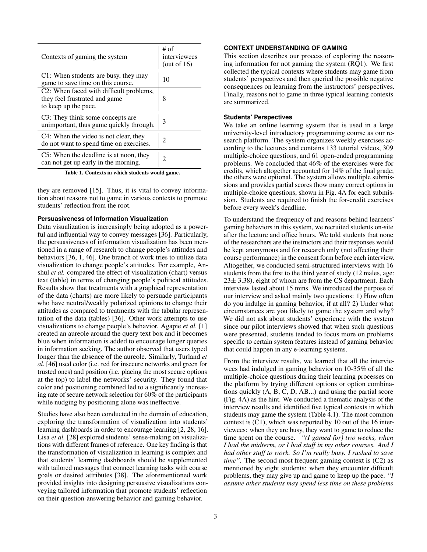| Contexts of gaming the system                                                                    | # of<br>interviewees<br>(out of $16$ ) |
|--------------------------------------------------------------------------------------------------|----------------------------------------|
| C1: When students are busy, they may<br>game to save time on this course.                        | 10                                     |
| C2: When faced with difficult problems,<br>they feel frustrated and game<br>to keep up the pace. | 8                                      |
| C3: They think some concepts are<br>unimportant, thus game quickly through.                      | 3                                      |
| C4: When the video is not clear, they<br>do not want to spend time on exercises.                 | $\mathfrak{D}$                         |
| C5: When the deadline is at noon, they<br>can not get up early in the morning.                   | 2                                      |

Table 1. Contexts in which students would game.

they are removed [\[15\]](#page-10-8). Thus, it is vital to convey information about reasons not to game in various contexts to promote students' reflection from the root.

#### **Persuasiveness of Information Visualization**

Data visualization is increasingly being adopted as a powerful and influential way to convey messages [\[36\]](#page-11-6). Particularly, the persuasiveness of information visualization has been mentioned in a range of research to change people's attitudes and behaviors [\[36,](#page-11-6) [1,](#page-10-10) [46\]](#page-11-7). One branch of work tries to utilize data visualization to change people's attitudes. For example, Anshul *et al.* compared the effect of visualization (chart) versus text (table) in terms of changing people's political attitudes. Results show that treatments with a graphical representation of the data (charts) are more likely to persuade participants who have neutral/weakly polarized opinions to change their attitudes as compared to treatments with the tabular representation of the data (tables) [\[36\]](#page-11-6). Other work attempts to use visualizations to change people's behavior. Agapie *et al.* [\[1\]](#page-10-10) created an aureole around the query text box and it becomes blue when information is added to encourage longer queries in information seeking. The author observed that users typed longer than the absence of the aureole. Similarly, Turland *et al.* [\[46\]](#page-11-7) used color (i.e. red for insecure networks and green for trusted ones) and position (i.e. placing the most secure options at the top) to label the networks' security. They found that color and positioning combined led to a significantly increasing rate of secure network selection for 60% of the participants while nudging by positioning alone was ineffective.

Studies have also been conducted in the domain of education, exploring the transformation of visualization into students' learning dashboards in order to encourage learning [\[2,](#page-10-15) [28,](#page-11-11) [16\]](#page-10-16). Lisa *et al.* [\[28\]](#page-11-11) explored students' sense-making on visualizations with different frames of reference. One key finding is that the transformation of visualization in learning is complex and that students' learning dashboards should be supplemented with tailored messages that connect learning tasks with course goals or desired attributes [\[38\]](#page-11-12). The aforementioned work provided insights into designing persuasive visualizations conveying tailored information that promote students' reflection on their question-answering behavior and gaming behavior.

#### **CONTEXT UNDERSTANDING OF GAMING**

This section describes our process of exploring the reasoning information for not gaming the system (RQ1). We first collected the typical contexts where students may game from students' perspectives and then queried the possible negative consequences on learning from the instructors' perspectives. Finally, reasons not to game in three typical learning contexts are summarized.

#### <span id="page-2-0"></span>**Students' Perspectives**

We take an online learning system that is used in a large university-level introductory programming course as our research platform. The system organizes weekly exercises according to the lectures and contains 133 tutorial videos, 309 multiple-choice questions, and 61 open-ended programming problems. We concluded that 46% of the exercises were for credits, which altogether accounted for 14% of the final grade; the others were optional. The system allows multiple submissions and provides partial scores (how many correct options in multiple-choice questions, shown in Fig. [4A](#page-6-0) for each submission. Students are required to finish the for-credit exercises before every week's deadline.

To understand the frequency of and reasons behind learners' gaming behaviors in this system, we recruited students on-site after the lecture and office hours. We told students that none of the researchers are the instructors and their responses would be kept anonymous and for research only (not affecting their course performance) in the consent form before each interview. Altogether, we conducted semi-structured interviews with 16 students from the first to the third year of study (12 males, age:  $23\pm 3.38$ , eight of whom are from the CS department. Each interview lasted about 15 mins. We introduced the purpose of our interview and asked mainly two questions: 1) How often do you indulge in gaming behavior, if at all? 2) Under what circumstances are you likely to game the system and why? We did not ask about students' experience with the system since our pilot interviews showed that when such questions were presented, students tended to focus more on problems specific to certain system features instead of gaming behavior that could happen in any e-learning systems.

From the interview results, we learned that all the interviewees had indulged in gaming behavior on 10-35% of all the multiple-choice questions during their learning processes on the platform by trying different options or option combinations quickly (A, B, C, D, AB...) and using the partial score (Fig. [4A](#page-6-0)) as the hint. We conducted a thematic analysis of the interview results and identified five typical contexts in which students may game the system (Table [4.1\)](#page-2-0). The most common context is (C1), which was reported by 10 out of the 16 interviewees: when they are busy, they want to game to reduce the time spent on the course. *"(I gamed for) two weeks, when I had the midterm, or I had stuff in my other courses. And I had other stuff to work. So I'm really busy. I rushed to save time"*. The second most frequent gaming context is  $(C2)$  as mentioned by eight students: when they encounter difficult problems, they may give up and game to keep up the pace. *"I assume other students may spend less time on these problems*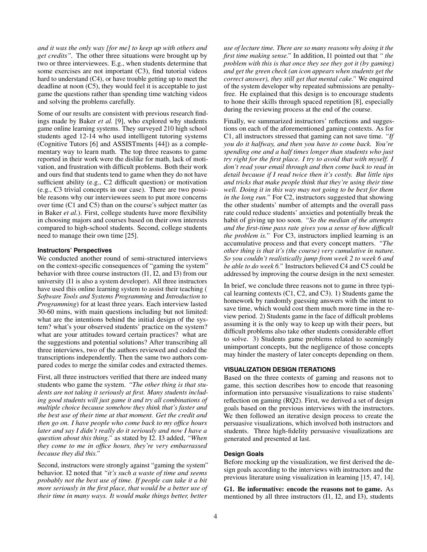*and it was the only way [for me] to keep up with others and get credits".* The other three situations were brought up by two or three interviewees. E.g., when students determine that some exercises are not important (C3), find tutorial videos hard to understand (C4), or have trouble getting up to meet the deadline at noon (C5), they would feel it is acceptable to just game the questions rather than spending time watching videos and solving the problems carefully.

Some of our results are consistent with previous research findings made by Baker *et al.* [\[9\]](#page-10-3), who explored why students game online learning systems. They surveyed 210 high school students aged 12-14 who used intelligent tutoring systems (Cognitive Tutors [\[6\]](#page-10-17) and ASSISTments [\[44\]](#page-11-13)) as a complementary way to learn math. The top three reasons to game reported in their work were the dislike for math, lack of motivation, and frustration with difficult problems. Both their work and ours find that students tend to game when they do not have sufficient ability (e.g., C2 difficult question) or motivation (e.g., C3 trivial concepts in our case). There are two possible reasons why our interviewees seem to put more concerns over time (C1 and C5) than on the course's subject matter (as in Baker *et al.*). First, college students have more flexibility in choosing majors and courses based on their own interests compared to high-school students. Second, college students need to manage their own time [\[25\]](#page-11-14).

#### **Instructors' Perspectives**

We conducted another round of semi-structured interviews on the context-specific consequences of "gaming the system" behavior with three course instructors (I1, I2, and I3) from our university (I1 is also a system developer). All three instructors have used this online learning system to assist their teaching ( *Software Tools and Systems Programming* and *Introduction to Programming*) for at least three years. Each interview lasted 30-60 mins, with main questions including but not limited: what are the intentions behind the initial design of the system? what's your observed students' practice on the system? what are your attitudes toward certain practices? what are the suggestions and potential solutions? After transcribing all three interviews, two of the authors reviewed and coded the transcriptions independently. Then the same two authors compared codes to merge the similar codes and extracted themes.

First, all three instructors verified that there are indeed many students who game the system. *"The other thing is that students are not taking it seriously at first. Many students including good students will just game it and try all combinations of multiple choice because somehow they think that's faster and the best use of their time at that moment. Get the credit and then go on. I have people who come back to my office hours later and say I didn't really do it seriously and now I have a question about this thing."* as stated by I2. I3 added, *"When they come to me in office hours, they're very embarrassed because they did this."*

Second, instructors were strongly against "gaming the system" behavior. I2 noted that *"it's such a waste of time and seems probably not the best use of time. If people can take it a bit more seriously in the first place, that would be a better use of their time in many ways. It would make things better, better*

*use of lecture time. There are so many reasons why doing it the first time making sense."* In addition, I1 pointed out that *" the problem with this is that once they see they got it (by gaming) and get the green check (an icon appears when students get the correct answer), they still get that mental cake."* We enquired of the system developer why repeated submissions are penaltyfree. He explained that this design is to encourage students to hone their skills through spaced repetition [\[8\]](#page-10-18), especially during the reviewing process at the end of the course.

Finally, we summarized instructors' reflections and suggestions on each of the aforementioned gaming contexts. As for C1, all instructors stressed that gaming can not save time. *"If you do it halfway, and then you have to come back. You're spending one and a half times longer than students who just try right for the first place. I try to avoid that with myself. I don't read your email through and then come back to read in detail because if I read twice then it's costly. But little tips and tricks that make people think that they're using their time well. Doing it in this way may not going to be best for them in the long run."* For C2, instructors suggested that showing the other students' number of attempts and the overall pass rate could reduce students' anxieties and potentially break the habit of giving up too soon. *"So the median of the attempts and the first-time pass rate gives you a sense of how difficult the problem is."* For C3, instructors implied learning is an accumulative process and that every concept matters. *"The other thing is that it's (the course) very cumulative in nature. So you couldn't realistically jump from week 2 to week 6 and be able to do week 6."* Instructors believed C4 and C5 could be addressed by improving the course design in the next semester.

In brief, we conclude three reasons not to game in three typical learning contexts (C1, C2, and C3). 1) Students game the homework by randomly guessing answers with the intent to save time, which would cost them much more time in the review period. 2) Students game in the face of difficult problems assuming it is the only way to keep up with their peers, but difficult problems also take other students considerable effort to solve. 3) Students game problems related to seemingly unimportant concepts, but the negligence of those concepts may hinder the mastery of later concepts depending on them.

## **VISUALIZATION DESIGN ITERATIONS**

Based on the three contexts of gaming and reasons not to game, this section describes how to encode that reasoning information into persuasive visualizations to raise students' reflection on gaming (RQ2). First, we derived a set of design goals based on the previous interviews with the instructors. We then followed an iterative design process to create the persuasive visualizations, which involved both instructors and students. Three high-fidelity persuasive visualizations are generated and presented at last.

#### **Design Goals**

Before mocking up the visualization, we first derived the design goals according to the interviews with instructors and the previous literature using visualization in learning [\[15,](#page-10-8) [47,](#page-12-0) [14\]](#page-10-19).

G1. Be informative: encode the reasons not to game. As mentioned by all three instructors (I1, I2, and I3), students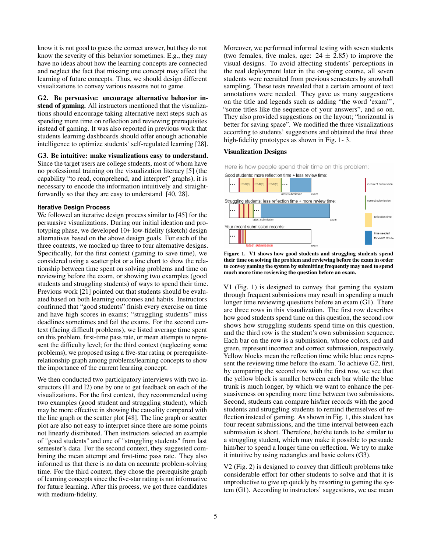know it is not good to guess the correct answer, but they do not know the severity of this behavior sometimes. E.g., they may have no ideas about how the learning concepts are connected and neglect the fact that missing one concept may affect the learning of future concepts. Thus, we should design different visualizations to convey various reasons not to game.

G2. Be persuasive: encourage alternative behavior instead of gaming. All instructors mentioned that the visualizations should encourage taking alternative next steps such as spending more time on reflection and reviewing prerequisites instead of gaming. It was also reported in previous work that students learning dashboards should offer enough actionable intelligence to optimize students' self-regulated learning [\[28\]](#page-11-11).

G3. Be intuitive: make visualizations easy to understand. Since the target users are college students, most of whom have no professional training on the visualization literacy [\[5\]](#page-10-20) (the capability "to read, comprehend, and interpret" graphs), it is necessary to encode the information intuitively and straightforwardly so that they are easy to understand [\[40,](#page-11-15) [28\]](#page-11-11).

#### **Iterative Design Process**

We followed an iterative design process similar to [\[45\]](#page-11-16) for the persuasive visualizations. During our initial ideation and prototyping phase, we developed 10+ low-fidelity (sketch) design alternatives based on the above design goals. For each of the three contexts, we mocked up three to four alternative designs. Specifically, for the first context (gaming to save time), we considered using a scatter plot or a line chart to show the relationship between time spent on solving problems and time on reviewing before the exam, or showing two examples (good students and struggling students) of ways to spend their time. Previous work [\[21\]](#page-10-21) pointed out that students should be evaluated based on both learning outcomes and habits. Instructors confirmed that "good students" finish every exercise on time and have high scores in exams; "struggling students" miss deadlines sometimes and fail the exams. For the second context (facing difficult problems), we listed average time spent on this problem, first-time pass rate, or mean attempts to represent the difficulty level; for the third context (neglecting some problems), we proposed using a five-star rating or prerequisiterelationship graph among problems/learning concepts to show the importance of the current learning concept.

We then conducted two participatory interviews with two instructors (I1 and I2) one by one to get feedback on each of the visualizations. For the first context, they recommended using two examples (good student and struggling student), which may be more effective in showing the causality compared with the line graph or the scatter plot [\[48\]](#page-12-1). The line graph or scatter plot are also not easy to interpret since there are some points not linearly distributed. Then instructors selected an example of "good students" and one of "struggling students" from last semester's data. For the second context, they suggested combining the mean attempt and first-time pass rate. They also informed us that there is no data on accurate problem-solving time. For the third context, they chose the prerequisite graph of learning concepts since the five-star rating is not informative for future learning. After this process, we got three candidates with medium-fidelity.

Moreover, we performed informal testing with seven students (two females, five males, age:  $24 \pm 2.85$ ) to improve the visual designs. To avoid affecting students' perceptions in the real deployment later in the on-going course, all seven students were recruited from previous semesters by snowball sampling. These tests revealed that a certain amount of text annotations were needed. They gave us many suggestions on the title and legends such as adding "the word 'exam"', "some titles like the sequence of your answers", and so on. They also provided suggestions on the layout; "horizontal is better for saving space". We modified the three visualizations according to students' suggestions and obtained the final three high-fidelity prototypes as shown in Fig. [1-](#page-4-0) [3.](#page-5-0)

# Visualization Designs

Here is how people spend their time on this problem:



<span id="page-4-0"></span>Figure 1. V1 shows how good students and struggling students spend their time on solving the problem and reviewing before the exam in order to convey gaming the system by submitting frequently may need to spend much more time reviewing the question before an exam.

V1 (Fig. [1\)](#page-4-0) is designed to convey that gaming the system through frequent submissions may result in spending a much longer time reviewing questions before an exam (G1). There are three rows in this visualization. The first row describes how good students spend time on this question, the second row shows how struggling students spend time on this question, and the third row is the student's own submission sequence. Each bar on the row is a submission, whose colors, red and green, represent incorrect and correct submission, respectively. Yellow blocks mean the reflection time while blue ones represent the reviewing time before the exam. To achieve G2, first, by comparing the second row with the first row, we see that the yellow block is smaller between each bar while the blue trunk is much longer, by which we want to enhance the persuasiveness on spending more time between two submissions. Second, students can compare his/her records with the good students and struggling students to remind themselves of reflection instead of gaming. As shown in Fig. [1,](#page-4-0) this student has four recent submissions, and the time interval between each submission is short. Therefore, he/she tends to be similar to a struggling student, which may make it possible to persuade him/her to spend a longer time on reflection. We try to make it intuitive by using rectangles and basic colors (G3).

V2 (Fig. [2\)](#page-5-1) is designed to convey that difficult problems take considerable effort for other students to solve and that it is unproductive to give up quickly by resorting to gaming the system (G1). According to instructors' suggestions, we use mean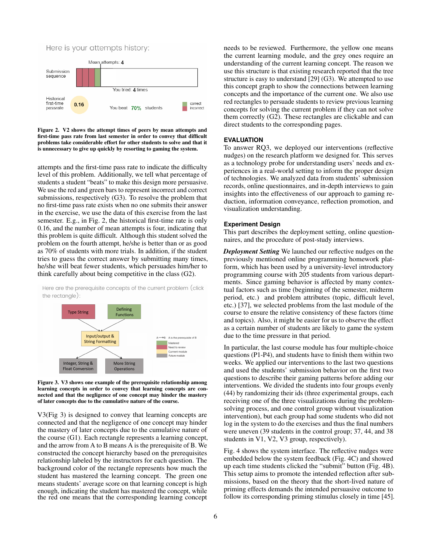



<span id="page-5-1"></span>Figure 2. V2 shows the attempt times of peers by mean attempts and first-time pass rate from last semester in order to convey that difficult problems take considerable effort for other students to solve and that it is unnecessary to give up quickly by resorting to gaming the system.

attempts and the first-time pass rate to indicate the difficulty level of this problem. Additionally, we tell what percentage of students a student "beats" to make this design more persuasive. We use the red and green bars to represent incorrect and correct submissions, respectively (G3). To resolve the problem that no first-time pass rate exists when no one submits their answer in the exercise, we use the data of this exercise from the last semester. E.g., in Fig. [2,](#page-5-1) the historical first-time rate is only 0.16, and the number of mean attempts is four, indicating that this problem is quite difficult. Although this student solved the problem on the fourth attempt, he/she is better than or as good as 70% of students with more trials. In addition, if the student tries to guess the correct answer by submitting many times, he/she will beat fewer students, which persuades him/her to think carefully about being competitive in the class (G2).

Here are the prerequisite concepts of the current problem (click the rectangle):



<span id="page-5-0"></span>Figure 3. V3 shows one example of the prerequisite relationship among learning concepts in order to convey that learning concepts are connected and that the negligence of one concept may hinder the mastery of later concepts due to the cumulative nature of the course.

V3(Fig [3\)](#page-5-0) is designed to convey that learning concepts are connected and that the negligence of one concept may hinder the mastery of later concepts due to the cumulative nature of the course (G1). Each rectangle represents a learning concept, and the arrow from A to B means A is the prerequisite of B. We constructed the concept hierarchy based on the prerequisites relationship labeled by the instructors for each question. The background color of the rectangle represents how much the student has mastered the learning concept. The green one means students' average score on that learning concept is high enough, indicating the student has mastered the concept, while the red one means that the corresponding learning concept

needs to be reviewed. Furthermore, the yellow one means the current learning module, and the grey ones require an understanding of the current learning concept. The reason we use this structure is that existing research reported that the tree structure is easy to understand [\[29\]](#page-11-17) (G3). We attempted to use this concept graph to show the connections between learning concepts and the importance of the current one. We also use red rectangles to persuade students to review previous learning concepts for solving the current problem if they can not solve them correctly (G2). These rectangles are clickable and can direct students to the corresponding pages.

# **EVALUATION**

To answer RQ3, we deployed our interventions (reflective nudges) on the research platform we designed for. This serves as a technology probe for understanding users' needs and experiences in a real-world setting to inform the proper design of technologies. We analyzed data from students' submission records, online questionnaires, and in-depth interviews to gain insights into the effectiveness of our approach to gaming reduction, information conveyance, reflection promotion, and visualization understanding.

#### **Experiment Design**

This part describes the deployment setting, online questionnaires, and the procedure of post-study interviews.

*Deployment Setting* We launched our reflective nudges on the previously mentioned online programming homework platform, which has been used by a university-level introductory programming course with 205 students from various departments. Since gaming behavior is affected by many contextual factors such as time (beginning of the semester, midterm period, etc.) and problem attributes (topic, difficult level, etc.) [\[37\]](#page-11-18), we selected problems from the last module of the course to ensure the relative consistency of these factors (time and topics). Also, it might be easier for us to observe the effect as a certain number of students are likely to game the system due to the time pressure in that period.

In particular, the last course module has four multiple-choice questions (P1-P4), and students have to finish them within two weeks. We applied our interventions to the last two questions and used the students' submission behavior on the first two questions to describe their gaming patterns before adding our interventions. We divided the students into four groups evenly (44) by randomizing their ids (three experimental groups, each receiving one of the three visualizations during the problemsolving process, and one control group without visualization intervention), but each group had some students who did not log in the system to do the exercises and thus the final numbers were uneven (39 students in the control group; 37, 44, and 38 students in V1, V2, V3 group, respectively).

Fig. [4](#page-6-0) shows the system interface. The reflective nudges were embedded below the system feedback (Fig. [4C](#page-6-0)) and showed up each time students clicked the "submit" button (Fig. [4B](#page-6-0)). This setup aims to promote the intended reflection after submissions, based on the theory that the short-lived nature of priming effects demands the intended persuasive outcome to follow its corresponding priming stimulus closely in time [\[45\]](#page-11-16).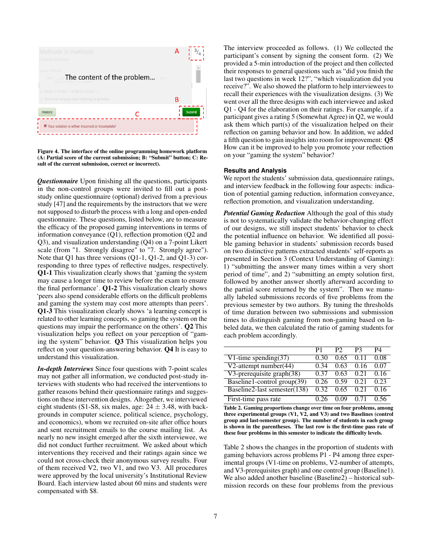

<span id="page-6-0"></span>Figure 4. The interface of the online programming homework platform (A: Partial score of the current submission; B: "Submit" button; C: Result of the current submission, correct or incorrect).

*Questionnaire* Upon finishing all the questions, participants in the non-control groups were invited to fill out a poststudy online questionnaire (optional) derived from a previous study [\[47\]](#page-12-0) and the requirements by the instructors that we were not supposed to disturb the process with a long and open-ended questionnaire. These questions, listed below, are to measure the efficacy of the proposed gaming interventions in terms of information conveyance (Q1), reflection promotion (Q2 and Q3), and visualization understanding (Q4) on a 7-point Likert scale (from "1. Strongly disagree" to "7. Strongly agree"). Note that Q1 has three versions (Q1-1, Q1-2, and Q1-3) corresponding to three types of reflective nudges, respectively. Q1-1 This visualization clearly shows that 'gaming the system may cause a longer time to review before the exam to ensure the final performance'. Q1-2 This visualization clearly shows 'peers also spend considerable efforts on the difficult problems and gaming the system may cost more attempts than peers'. Q1-3 This visualization clearly shows 'a learning concept is related to other learning concepts, so gaming the system on the questions may impair the performance on the others'. Q2 This visualization helps you reflect on your perception of "gaming the system" behavior. Q3 This visualization helps you reflect on your question-answering behavior. Q4 It is easy to understand this visualization.

*In-depth Interviews* Since four questions with 7-point scales may not gather all information, we conducted post-study interviews with students who had received the interventions to gather reasons behind their questionnaire ratings and suggestions on these intervention designs. Altogether, we interviewed eight students (S1-S8, six males, age:  $24 \pm 3.48$ , with backgrounds in computer science, political science, psychology, and economics), whom we recruited on-site after office hours and sent recruitment emails to the course mailing list. As nearly no new insight emerged after the sixth interviewee, we did not conduct further recruitment. We asked about which interventions they received and their ratings again since we could not cross-check their anonymous survey results. Four of them received V2, two V1, and two V3. All procedures were approved by the local university's Institutional Review Board. Each interview lasted about 60 mins and students were compensated with \$8.

The interview proceeded as follows. (1) We collected the participant's consent by signing the consent form. (2) We provided a 5-min introduction of the project and then collected their responses to general questions such as "did you finish the last two questions in week 12?", "which visualization did you receive?". We also showed the platform to help interviewees to recall their experiences with the visualization designs. (3) We went over all the three designs with each interviewee and asked Q1 - Q4 for the elaboration on their ratings. For example, if a participant gives a rating 5 (Somewhat Agree) in Q2, we would ask them which part(s) of the visualization helped on their reflection on gaming behavior and how. In addition, we added a fifth question to gain insights into room for improvement: Q5 How can it be improved to help you promote your reflection on your "gaming the system" behavior?

#### **Results and Analysis**

We report the students' submission data, questionnaire ratings, and interview feedback in the following four aspects: indication of potential gaming reduction, information conveyance, reflection promotion, and visualization understanding.

*Potential Gaming Reduction* Although the goal of this study is not to systematically validate the behavior-changing effect of our designs, we still inspect students' behavior to check the potential influence on behavior. We identified all possible gaming behavior in students' submission records based on two distinctive patterns extracted students' self-reports as presented in Section 3 (Context Understanding of Gaming): 1) "submitting the answer many times within a very short period of time", and 2) "submitting an empty solution first, followed by another answer shortly afterward according to the partial score returned by the system". Then we manually labeled submissions records of five problems from the previous semester by two authors. By tuning the thresholds of time duration between two submissions and submission times to distinguish gaming from non-gaming based on labeled data, we then calculated the ratio of gaming students for each problem accordingly.

|                                 | P1   | P2   | P3   | P4   |
|---------------------------------|------|------|------|------|
| V1-time spending $(37)$         | 0.30 | 0.65 | 011  | 0.08 |
| V2-attempt number $(44)$        | 0.34 | 0.63 | 0.16 | 0.07 |
| $V3$ -prerequisite graph $(38)$ | 0.37 | 0.63 | 0.21 | 0.16 |
| Baseline1-control group(39)     | 0.26 | 0.59 | 0.21 | 0.23 |
| Baseline2-last semester(138)    | 0.32 | 0.65 | 0.21 | 0.16 |
| First-time pass rate            |      |      | ()71 | በ 56 |

<span id="page-6-1"></span>Table 2. Gaming proportions change over time on four problems, among three experimental groups (V1, V2, and V3) and two Baselines (control group and last-semester group). The number of students in each group is shown in the parentheses. The last row is the first-time pass rate of these four problems in this semester to indicate the difficulty levels.

Table [2](#page-6-1) shows the changes in the proportion of students with gaming behaviors across problems P1 - P4 among three experimental groups (V1-time on problems, V2-number of attempts, and V3-prerequisites graph) and one control group (Baseline1). We also added another baseline (Baseline2) – historical submission records on these four problems from the previous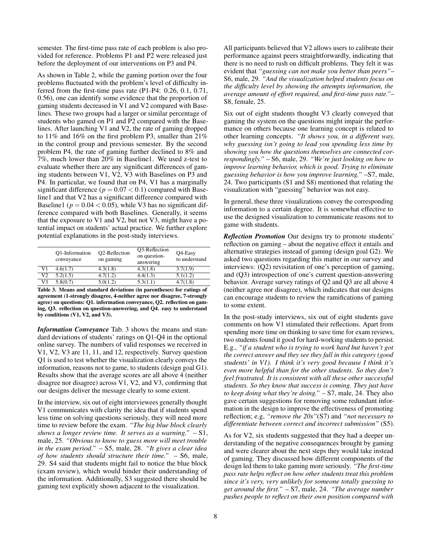semester. The first-time pass rate of each problem is also provided for reference. Problems P1 and P2 were released just before the deployment of our interventions on P3 and P4.

As shown in Table [2,](#page-6-1) while the gaming portion over the four problems fluctuated with the problem's level of difficulty inferred from the first-time pass rate (P1-P4: 0.26, 0.1, 0.71, 0.56), one can identify some evidence that the proportion of gaming students decreased in V1 and V2 compared with Baselines. These two groups had a larger or similar percentage of students who gamed on P1 and P2 compared with the Baselines. After launching V1 and V2, the rate of gaming dropped to 11% and 16% on the first problem P3, smaller than 21% in the control group and previous semester. By the second problem P4, the rate of gaming further declined to 8% and 7%, much lower than 20% in Baseline1. We used z-test to evaluate whether there are any significant differences of gaming students between V1, V2, V3 with Baselines on P3 and P4. In particular, we found that on P4, V1 has a marginally significant difference ( $p = 0.07 < 0.1$ ) compared with Baseline1 and that V2 has a significant difference compared with Baseline1 ( $p = 0.04 < 0.05$ ), while V3 has no significant difference compared with both Baselines. Generally, it seems that the exposure to V1 and V2, but not V3, might have a potential impact on students' actual practice. We further explore potential explanations in the post-study interviews.

|                | O1-Information<br>conveyance | O <sub>2</sub> -Reflection<br>on gaming | O <sub>3</sub> -Reflection<br>on question-<br>answering | Q4-Easy<br>to understand |
|----------------|------------------------------|-----------------------------------------|---------------------------------------------------------|--------------------------|
| V1             | 4.6(1.7)                     | 4.3(1.8)                                | 4.3(1.8)                                                | 3.7(1.9)                 |
| V <sub>2</sub> | 5.2(1.5)                     | 4.7(1.2)                                | 4.4(1.3)                                                | 5.1(1.2)                 |
| V <sub>3</sub> | 5.8(0.7)                     | 5.0(1.2)                                | 5.3(1.1)                                                | 4.7(1.8)                 |

<span id="page-7-0"></span>Table 3. Means and standard deviations (in parentheses) for ratings of agreement (1-strongly disagree, 4-neither agree nor disagree, 7-strongly agree) on questions: Q1. information conveyance, Q2. reflection on gaming, Q3. reflection on question-answering, and Q4. easy to understand by conditions (V1, V2, and V3).

*Information Conveyance* Tab. [3](#page-7-0) shows the means and standard deviations of students' ratings on Q1-Q4 in the optional online survey. The numbers of valid responses we received in V1, V2, V3 are 11, 11, and 12, respectively. Survey question Q1 is used to test whether the visualization clearly conveys the information, reasons not to game, to students (design goal G1). Results show that the average scores are all above 4 (neither disagree nor disagree) across V1, V2, and V3, confirming that our designs deliver the message clearly to some extent.

In the interview, six out of eight interviewees generally thought V1 communicates with clarity the idea that if students spend less time on solving questions seriously, they will need more time to review before the exam. *"The big blue block clearly shows a longer review time. It serves as a warning."* – S1, male, 25. *"Obvious to know to guess more will meet trouble in the exam period."* – S5, male, 28. *"It gives a clear idea of how students should structure their time."* – S6, male, 29. S4 said that students might fail to notice the blue block (exam review), which would hinder their understanding of the information. Additionally, S3 suggested there should be gaming text explicitly shown adjacent to the visualization.

All participants believed that V2 allows users to calibrate their performance against peers straightforwardly, indicating that there is no need to rush on difficult problems. They felt it was evident that *"guessing can not make you better than peers"*– S6, male, 29. *"And the visualization helped students focus on the difficulty level by showing the attempts information, the average amount of effort required, and first-time pass rate."*– S8, female, 25.

Six out of eight students thought V3 clearly conveyed that gaming the system on the questions might impair the performance on others because one learning concept is related to other learning concepts. *"It shows you, in a different way, why guessing isn't going to lead you spending less time by showing you how the questions themselves are connected correspondingly."* – S6, male, 29. *"We're just looking on how to improve learning behavior, which is good. Trying to eliminate guessing behavior is how you improve learning."* –S7, male, 24. Two participants (S1 and S8) mentioned that relating the visualization with "guessing" behavior was not easy.

In general, these three visualizations convey the corresponding information to a certain degree. It is somewhat effective to use the designed visualization to communicate reasons not to game with students.

*Reflection Promotion* Our designs try to promote students' reflection on gaming – about the negative effect it entails and alternative strategies instead of gaming (design goal G2). We asked two questions regarding this matter in our survey and interviews: (Q2) revisitation of one's perception of gaming, and (Q3) introspection of one's current question-answering behavior. Average survey ratings of Q2 and Q3 are all above 4 (neither agree nor disagree), which indicates that our designs can encourage students to review the ramifications of gaming to some extent.

In the post-study interviews, six out of eight students gave comments on how V1 stimulated their reflections. Apart from spending more time on thinking to save time for exam reviews, two students found it good for hard-working students to persist. E.g., *"if a student who is trying to work hard but haven't got the correct answer and they see they fall in this category (good students' in V1). I think it's very good because I think it's even more helpful than for the other students. So they don't feel frustrated. It is consistent with all these other successful students. So they know that success is coming. They just have to keep doing what they're doing."* – S7, male, 24. They also gave certain suggestions for removing some redundant information in the design to improve the effectiveness of promoting reflection; e.g, *"remove the 20s"*(S7) and *"not necessary to differentiate between correct and incorrect submission"* (S5).

As for V2, six students suggested that they had a deeper understanding of the negative consequences brought by gaming and were clearer about the next steps they would take instead of gaming. They discussed how different components of the design led them to take gaming more seriously. *"The first-time pass rate helps reflect on how other students treat this problem since it's very, very unlikely for someone totally guessing to get around the first."* – S7, male, 24. *"The average number pushes people to reflect on their own position compared with*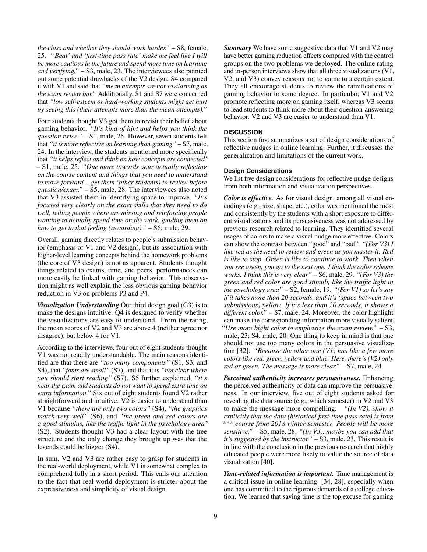*the class and whether they should work harder."* – S8, female, 25. *"'Beat' and 'first-time pass rate' make me feel like I will be more cautious in the future and spend more time on learning and verifying."* – S3, male, 23. The interviewees also pointed out some potential drawbacks of the V2 design. S4 compared it with V1 and said that *"mean attempts are not so alarming as the exam review bar."* Additionally, S1 and S7 were concerned that *"low self-esteem or hard-working students might get hurt by seeing this (their attempts more than the mean attempts)."*

Four students thought V3 got them to revisit their belief about gaming behavior. *"It's kind of hint and helps you think the question twice."* – S1, male, 25. However, seven students felt that *"it is more reflective on learning than gaming"* – S7, male, 24. In the interview, the students mentioned more specifically that *"it helps reflect and think on how concepts are connected"* – S1, male, 25. *"One more towards your actually reflecting on the course content and things that you need to understand to move forward... get them (other students) to review before question/exam."* – S5, male, 28. The interviewees also noted that V3 assisted them in identifying space to improve. *"It's focused very clearly on the exact skills that they need to do well, telling people where are missing and reinforcing people wanting to actually spend time on the work, guiding them on how to get to that feeling (rewarding)."* – S6, male, 29.

Overall, gaming directly relates to people's submission behavior (emphasis of V1 and V2 design), but its association with higher-level learning concepts behind the homework problems (the core of V3 design) is not as apparent. Students thought things related to exams, time, and peers' performances can more easily be linked with gaming behavior. This observation might as well explain the less obvious gaming behavior reduction in V3 on problems P3 and P4.

*Visualization Understanding* Our third design goal (G3) is to make the designs intuitive. Q4 is designed to verify whether the visualizations are easy to understand. From the rating, the mean scores of V2 and V3 are above 4 (neither agree nor disagree), but below 4 for V1.

According to the interviews, four out of eight students thought V1 was not readily understandable. The main reasons identified are that there are *"too many components"* (S1, S3, and S4), that *"fonts are small"* (S7), and that it is *"not clear where you should start reading"* (S7). S5 further explained, *"it's near the exam and students do not want to spend extra time on extra information."* Six out of eight students found V2 rather straightforward and intuitive. V2 is easier to understand than V1 because *"there are only two colors"* (S4), *"the graphics match very well"* (S6), and *"the green and red colors are a good stimulus, like the traffic light in the psychology area"* (S2). Students thought V3 had a clear layout with the tree structure and the only change they brought up was that the legends could be bigger (S4).

In sum, V2 and V3 are rather easy to grasp for students in the real-world deployment, while V1 is somewhat complex to comprehend fully in a short period. This calls our attention to the fact that real-world deployment is stricter about the expressiveness and simplicity of visual design.

*Summary* We have some suggestive data that V1 and V2 may have better gaming reduction effects compared with the control groups on the two problems we deployed. The online rating and in-person interviews show that all three visualizations (V1, V2, and V3) convey reasons not to game to a certain extent. They all encourage students to review the ramifications of gaming behavior to some degree. In particular, V1 and V2 promote reflecting more on gaming itself, whereas V3 seems to lead students to think more about their question-answering behavior. V2 and V3 are easier to understand than V1.

# **DISCUSSION**

This section first summarizes a set of design considerations of reflective nudges in online learning. Further, it discusses the generalization and limitations of the current work.

# **Design Considerations**

We list five design considerations for reflective nudge designs from both information and visualization perspectives.

*Color is effective.* As for visual design, among all visual encodings (e.g., size, shape, etc.), color was mentioned the most and consistently by the students with a short exposure to different visualizations and its persuasiveness was not addressed by previous research related to learning. They identified several usages of colors to make a visual nudge more effective. Colors can show the contrast between "good" and "bad". *"(For V3) I like red as the need to review and green as you master it. Red is like to stop. Green is like to continue to work. Then when you see green, you go to the next one. I think the color scheme works. I think this is very clear"* – S6, male, 29. *"(For V3) the green and red color are good stimuli, like the traffic light in the psychology area"* – S2, female, 19. *"(For V1) so let's say if it takes more than 20 seconds, and it's (space between two submissions) yellow. If it's less than 20 seconds, it shows a different color."* – S7, male, 24. Moreover, the color highlight can make the corresponding information more visually salient. *"Use more bight color to emphasize the exam review."* – S3, male, 23; S4, male, 20. One thing to keep in mind is that one should not use too many colors in the persuasive visualization [\[32\]](#page-11-19). *"Because the other one (V1) has like a few more colors like red, green, yellow and blue. Here, there's (V2) only red or green. The message is more clear."* – S7, male, 24.

*Perceived authenticity increases persuasiveness.* Enhancing the perceived authenticity of data can improve the persuasiveness. In our interview, five out of eight students asked for revealing the data source (e.g., which semester) in V2 and V3 to make the message more compelling. *"(In V2), show it explicitly that the data (historical first-time pass rate) is from \*\*\* course from 2018 winter semester. People will be more sensitive."* – S5, male, 28. *"(In V3), maybe you can add that it's suggested by the instructor."* – S3, male, 23. This result is in line with the conclusion in the previous research that highly educated people were more likely to value the source of data visualization [\[40\]](#page-11-15).

*Time-related information is important.* Time management is a critical issue in online learning [\[34,](#page-11-20) [28\]](#page-11-11), especially when one has committed to the rigorous demands of a college education. We learned that saving time is the top excuse for gaming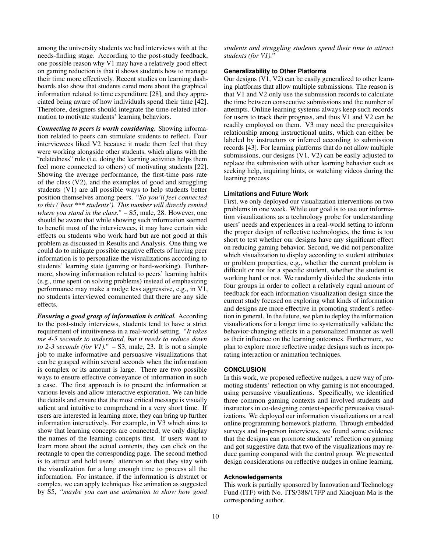among the university students we had interviews with at the needs-finding stage. According to the post-study feedback, one possible reason why V1 may have a relatively good effect on gaming reduction is that it shows students how to manage their time more effectively. Recent studies on learning dashboards also show that students cared more about the graphical information related to time expenditure [\[28\]](#page-11-11), and they appreciated being aware of how individuals spend their time [\[42\]](#page-11-21). Therefore, designers should integrate the time-related information to motivate students' learning behaviors.

*Connecting to peers is worth considering.* Showing information related to peers can stimulate students to reflect. Four interviewees liked V2 because it made them feel that they were working alongside other students, which aligns with the "relatedness" rule (i.e. doing the learning activities helps them feel more connected to others) of motivating students [\[22\]](#page-10-22). Showing the average performance, the first-time pass rate of the class (V2), and the examples of good and struggling students (V1) are all possible ways to help students better position themselves among peers. *"So you'll feel connected to this ('beat \*\*\* students'). This number will directly remind where you stand in the class."* – S5, male, 28. However, one should be aware that while showing such information seemed to benefit most of the interviewees, it may have certain side effects on students who work hard but are not good at this problem as discussed in Results and Analysis. One thing we could do to mitigate possible negative effects of having peer information is to personalize the visualizations according to students' learning state (gaming or hard-working). Furthermore, showing information related to peers' learning habits (e.g., time spent on solving problems) instead of emphasizing performance may make a nudge less aggressive, e.g., in V1, no students interviewed commented that there are any side effects.

*Ensuring a good grasp of information is critical.* According to the post-study interviews, students tend to have a strict requirement of intuitiveness in a real-world setting. *"It takes me 4-5 seconds to understand, but it needs to reduce down to 2-3 seconds (for V1)."* – S3, male, 23. It is not a simple job to make informative and persuasive visualizations that can be grasped within several seconds when the information is complex or its amount is large. There are two possible ways to ensure effective conveyance of information in such a case. The first approach is to present the information at various levels and allow interactive exploration. We can hide the details and ensure that the most critical message is visually salient and intuitive to comprehend in a very short time. If users are interested in learning more, they can bring up further information interactively. For example, in V3 which aims to show that learning concepts are connected, we only display the names of the learning concepts first. If users want to learn more about the actual contents, they can click on the rectangle to open the corresponding page. The second method is to attract and hold users' attention so that they stay with the visualization for a long enough time to process all the information. For instance, if the information is abstract or complex, we can apply techniques like animation as suggested by S5, *"maybe you can use animation to show how good*

*students and struggling students spend their time to attract students (for V1)."*

#### **Generalizability to Other Platforms**

Our designs (V1, V2) can be easily generalized to other learning platforms that allow multiple submissions. The reason is that V1 and V2 only use the submission records to calculate the time between consecutive submissions and the number of attempts. Online learning systems always keep such records for users to track their progress, and thus V1 and V2 can be readily employed on them. V3 may need the prerequisites relationship among instructional units, which can either be labeled by instructors or inferred according to submission records [\[43\]](#page-11-22). For learning platforms that do not allow multiple submissions, our designs (V1, V2) can be easily adjusted to replace the submission with other learning behavior such as seeking help, inquiring hints, or watching videos during the learning process.

#### **Limitations and Future Work**

First, we only deployed our visualization interventions on two problems in one week. While our goal is to use our information visualizations as a technology probe for understanding users' needs and experiences in a real-world setting to inform the proper design of reflective technologies, the time is too short to test whether our designs have any significant effect on reducing gaming behavior. Second, we did not personalize which visualization to display according to student attributes or problem properties, e.g., whether the current problem is difficult or not for a specific student, whether the student is working hard or not. We randomly divided the students into four groups in order to collect a relatively equal amount of feedback for each information visualization design since the current study focused on exploring what kinds of information and designs are more effective in promoting student's reflection in general. In the future, we plan to deploy the information visualizations for a longer time to systematically validate the behavior-changing effects in a personalized manner as well as their influence on the learning outcomes. Furthermore, we plan to explore more reflective nudge designs such as incorporating interaction or animation techniques.

#### **CONCLUSION**

In this work, we proposed reflective nudges, a new way of promoting students' reflection on why gaming is not encouraged, using persuasive visualizations. Specifically, we identified three common gaming contexts and involved students and instructors in co-designing context-specific persuasive visualizations. We deployed our information visualizations on a real online programming homework platform. Through embedded surveys and in-person interviews, we found some evidence that the designs can promote students' reflection on gaming and got suggestive data that two of the visualizations may reduce gaming compared with the control group. We presented design considerations on reflective nudges in online learning.

#### **Acknowledgements**

This work is partially sponsored by Innovation and Technology Fund (ITF) with No. ITS/388/17FP and Xiaojuan Ma is the corresponding author.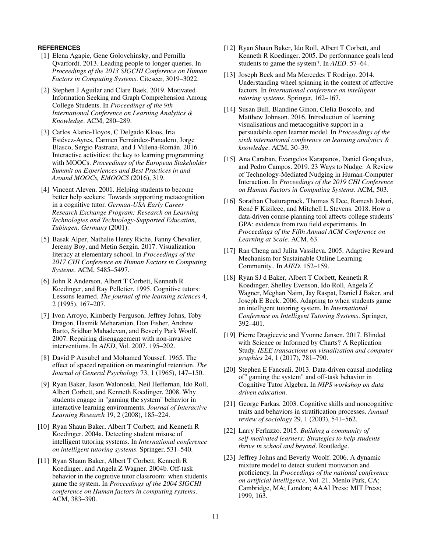# <span id="page-10-10"></span>**REFERENCES**

- [1] Elena Agapie, Gene Golovchinsky, and Pernilla Qvarfordt. 2013. Leading people to longer queries. In *Proceedings of the 2013 SIGCHI Conference on Human Factors in Computing Systems*. Citeseer, 3019–3022.
- <span id="page-10-15"></span>[2] Stephen J Aguilar and Clare Baek. 2019. Motivated Information Seeking and Graph Comprehension Among College Students. In *Proceedings of the 9th International Conference on Learning Analytics & Knowledge*. ACM, 280–289.
- <span id="page-10-11"></span>[3] Carlos Alario-Hoyos, C Delgado Kloos, Iria Estévez-Ayres, Carmen Fernández-Panadero, Jorge Blasco, Sergio Pastrana, and J Villena-Román. 2016. Interactive activities: the key to learning programming with MOOCs. *Proceedings of the European Stakeholder Summit on Experiences and Best Practices in and Around MOOCs, EMOOCS* (2016), 319.
- <span id="page-10-6"></span>[4] Vincent Aleven. 2001. Helping students to become better help seekers: Towards supporting metacognition in a cognitive tutor. *German-USA Early Career Research Exchange Program: Research on Learning Technologies and Technology-Supported Education, Tubingen, Germany* (2001).
- <span id="page-10-20"></span>[5] Basak Alper, Nathalie Henry Riche, Fanny Chevalier, Jeremy Boy, and Metin Sezgin. 2017. Visualization literacy at elementary school. In *Proceedings of the 2017 CHI Conference on Human Factors in Computing Systems*. ACM, 5485–5497.
- <span id="page-10-17"></span>[6] John R Anderson, Albert T Corbett, Kenneth R Koedinger, and Ray Pelletier. 1995. Cognitive tutors: Lessons learned. *The journal of the learning sciences* 4, 2 (1995), 167–207.
- <span id="page-10-14"></span>[7] Ivon Arroyo, Kimberly Ferguson, Jeffrey Johns, Toby Dragon, Hasmik Meheranian, Don Fisher, Andrew Barto, Sridhar Mahadevan, and Beverly Park Woolf. 2007. Repairing disengagement with non-invasive interventions. In *AIED*, Vol. 2007. 195–202.
- <span id="page-10-18"></span>[8] David P Ausubel and Mohamed Youssef. 1965. The effect of spaced repetition on meaningful retention. *The Journal of General Psychology* 73, 1 (1965), 147–150.
- <span id="page-10-3"></span>[9] Ryan Baker, Jason Walonoski, Neil Heffernan, Ido Roll, Albert Corbett, and Kenneth Koedinger. 2008. Why students engage in "gaming the system" behavior in interactive learning environments. *Journal of Interactive Learning Research* 19, 2 (2008), 185–224.
- <span id="page-10-0"></span>[10] Ryan Shaun Baker, Albert T Corbett, and Kenneth R Koedinger. 2004a. Detecting student misuse of intelligent tutoring systems. In *International conference on intelligent tutoring systems*. Springer, 531–540.
- <span id="page-10-1"></span>[11] Ryan Shaun Baker, Albert T Corbett, Kenneth R Koedinger, and Angela Z Wagner. 2004b. Off-task behavior in the cognitive tutor classroom: when students game the system. In *Proceedings of the 2004 SIGCHI conference on Human factors in computing systems*. ACM, 383–390.
- <span id="page-10-2"></span>[12] Ryan Shaun Baker, Ido Roll, Albert T Corbett, and Kenneth R Koedinger. 2005. Do performance goals lead students to game the system?. In *AIED*. 57–64.
- <span id="page-10-4"></span>[13] Joseph Beck and Ma Mercedes T Rodrigo. 2014. Understanding wheel spinning in the context of affective factors. In *International conference on intelligent tutoring systems*. Springer, 162–167.
- <span id="page-10-19"></span>[14] Susan Bull, Blandine Ginon, Clelia Boscolo, and Matthew Johnson. 2016. Introduction of learning visualisations and metacognitive support in a persuadable open learner model. In *Proceedings of the sixth international conference on learning analytics & knowledge*. ACM, 30–39.
- <span id="page-10-8"></span>[15] Ana Caraban, Evangelos Karapanos, Daniel Gonçalves, and Pedro Campos. 2019. 23 Ways to Nudge: A Review of Technology-Mediated Nudging in Human-Computer Interaction. In *Proceedings of the 2019 CHI Conference on Human Factors in Computing Systems*. ACM, 503.
- <span id="page-10-16"></span>[16] Sorathan Chaturapruek, Thomas S Dee, Ramesh Johari, René F Kizilcec, and Mitchell L Stevens. 2018. How a data-driven course planning tool affects college students' GPA: evidence from two field experiments. In *Proceedings of the Fifth Annual ACM Conference on Learning at Scale*. ACM, 63.
- <span id="page-10-12"></span>[17] Ran Cheng and Julita Vassileva. 2005. Adaptive Reward Mechanism for Sustainable Online Learning Community.. In *AIED*. 152–159.
- <span id="page-10-7"></span>[18] Ryan SJ d Baker, Albert T Corbett, Kenneth R Koedinger, Shelley Evenson, Ido Roll, Angela Z Wagner, Meghan Naim, Jay Raspat, Daniel J Baker, and Joseph E Beck. 2006. Adapting to when students game an intelligent tutoring system. In *International Conference on Intelligent Tutoring Systems*. Springer, 392–401.
- <span id="page-10-9"></span>[19] Pierre Dragicevic and Yvonne Jansen. 2017. Blinded with Science or Informed by Charts? A Replication Study. *IEEE transactions on visualization and computer graphics* 24, 1 (2017), 781–790.
- <span id="page-10-5"></span>[20] Stephen E Fancsali. 2013. Data-driven causal modeling of" gaming the system" and off-task behavior in Cognitive Tutor Algebra. In *NIPS workshop on data driven education*.
- <span id="page-10-21"></span>[21] George Farkas. 2003. Cognitive skills and noncognitive traits and behaviors in stratification processes. *Annual review of sociology* 29, 1 (2003), 541–562.
- <span id="page-10-22"></span>[22] Larry Ferlazzo. 2015. *Building a community of self-motivated learners: Strategies to help students thrive in school and beyond*. Routledge.
- <span id="page-10-13"></span>[23] Jeffrey Johns and Beverly Woolf. 2006. A dynamic mixture model to detect student motivation and proficiency. In *Proceedings of the national conference on artificial intelligence*, Vol. 21. Menlo Park, CA; Cambridge, MA; London; AAAI Press; MIT Press; 1999, 163.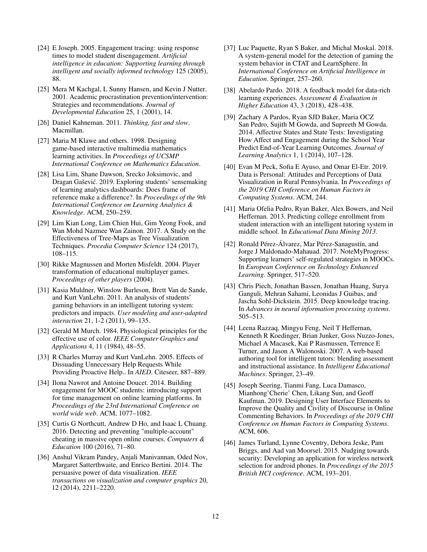- <span id="page-11-5"></span>[24] E Joseph. 2005. Engagement tracing: using response times to model student disengagement. *Artificial intelligence in education: Supporting learning through intelligent and socially informed technology* 125 (2005), 88.
- <span id="page-11-14"></span>[25] Mera M Kachgal, L Sunny Hansen, and Kevin J Nutter. 2001. Academic procrastination prevention/intervention: Strategies and recommendations. *Journal of Developmental Education* 25, 1 (2001), 14.
- <span id="page-11-10"></span>[26] Daniel Kahneman. 2011. *Thinking, fast and slow*. Macmillan.
- <span id="page-11-0"></span>[27] Maria M Klawe and others. 1998. Designing game-based interactive multimedia mathematics learning activities. In *Proceedings of UCSMP International Conference on Mathematics Education*.
- <span id="page-11-11"></span>[28] Lisa Lim, Shane Dawson, Srecko Joksimovic, and Dragan Gaševic. 2019. Exploring students' sensemaking ´ of learning analytics dashboards: Does frame of reference make a difference?. In *Proceedings of the 9th International Conference on Learning Analytics & Knowledge*. ACM, 250–259.
- <span id="page-11-17"></span>[29] Lim Kian Long, Lim Chien Hui, Gim Yeong Fook, and Wan Mohd Nazmee Wan Zainon. 2017. A Study on the Effectiveness of Tree-Maps as Tree Visualization Techniques. *Procedia Computer Science* 124 (2017), 108–115.
- <span id="page-11-1"></span>[30] Rikke Magnussen and Morten Misfeldt. 2004. Player transformation of educational multiplayer games. *Proceedings of other players* (2004).
- <span id="page-11-9"></span>[31] Kasia Muldner, Winslow Burleson, Brett Van de Sande, and Kurt VanLehn. 2011. An analysis of students' gaming behaviors in an intelligent tutoring system: predictors and impacts. *User modeling and user-adapted interaction* 21, 1-2 (2011), 99–135.
- <span id="page-11-19"></span>[32] Gerald M Murch. 1984. Physiological principles for the effective use of color. *IEEE Computer Graphics and Applications* 4, 11 (1984), 48–55.
- <span id="page-11-4"></span>[33] R Charles Murray and Kurt VanLehn. 2005. Effects of Dissuading Unnecessary Help Requests While Providing Proactive Help.. In *AIED*. Citeseer, 887–889.
- <span id="page-11-20"></span>[34] Ilona Nawrot and Antoine Doucet. 2014. Building engagement for MOOC students: introducing support for time management on online learning platforms. In *Proceedings of the 23rd International Conference on world wide web*. ACM, 1077–1082.
- <span id="page-11-2"></span>[35] Curtis G Northcutt, Andrew D Ho, and Isaac L Chuang. 2016. Detecting and preventing "multiple-account" cheating in massive open online courses. *Computers & Education* 100 (2016), 71–80.
- <span id="page-11-6"></span>[36] Anshul Vikram Pandey, Anjali Manivannan, Oded Nov, Margaret Satterthwaite, and Enrico Bertini. 2014. The persuasive power of data visualization. *IEEE transactions on visualization and computer graphics* 20, 12 (2014), 2211–2220.
- <span id="page-11-18"></span>[37] Luc Paquette, Ryan S Baker, and Michal Moskal. 2018. A system-general model for the detection of gaming the system behavior in CTAT and LearnSphere. In *International Conference on Artificial Intelligence in Education*. Springer, 257–260.
- <span id="page-11-12"></span>[38] Abelardo Pardo. 2018. A feedback model for data-rich learning experiences. *Assessment & Evaluation in Higher Education* 43, 3 (2018), 428–438.
- <span id="page-11-8"></span>[39] Zachary A Pardos, Ryan SJD Baker, Maria OCZ San Pedro, Sujith M Gowda, and Supreeth M Gowda. 2014. Affective States and State Tests: Investigating How Affect and Engagement during the School Year Predict End-of-Year Learning Outcomes. *Journal of Learning Analytics* 1, 1 (2014), 107–128.
- <span id="page-11-15"></span>[40] Evan M Peck, Sofia E Ayuso, and Omar El-Etr. 2019. Data is Personal: Attitudes and Perceptions of Data Visualization in Rural Pennsylvania. In *Proceedings of the 2019 CHI Conference on Human Factors in Computing Systems*. ACM, 244.
- <span id="page-11-3"></span>[41] Maria Ofelia Pedro, Ryan Baker, Alex Bowers, and Neil Heffernan. 2013. Predicting college enrollment from student interaction with an intelligent tutoring system in middle school. In *Educational Data Mining 2013*.
- <span id="page-11-21"></span>[42] Ronald Pérez-Álvarez, Mar Pérez-Sanagustín, and Jorge J Maldonado-Mahauad. 2017. NoteMyProgress: Supporting learners' self-regulated strategies in MOOCs. In *European Conference on Technology Enhanced Learning*. Springer, 517–520.
- <span id="page-11-22"></span>[43] Chris Piech, Jonathan Bassen, Jonathan Huang, Surya Ganguli, Mehran Sahami, Leonidas J Guibas, and Jascha Sohl-Dickstein. 2015. Deep knowledge tracing. In *Advances in neural information processing systems*. 505–513.
- <span id="page-11-13"></span>[44] Leena Razzaq, Mingyu Feng, Neil T Heffernan, Kenneth R Koedinger, Brian Junker, Goss Nuzzo-Jones, Michael A Macasek, Kai P Rasmussen, Terrence E Turner, and Jason A Walonoski. 2007. A web-based authoring tool for intelligent tutors: blending assessment and instructional assistance. In *Intelligent Educational Machines*. Springer, 23–49.
- <span id="page-11-16"></span>[45] Joseph Seering, Tianmi Fang, Luca Damasco, Mianhong'Cherie' Chen, Likang Sun, and Geoff Kaufman. 2019. Designing User Interface Elements to Improve the Quality and Civility of Discourse in Online Commenting Behaviors. In *Proceedings of the 2019 CHI Conference on Human Factors in Computing Systems*. ACM, 606.
- <span id="page-11-7"></span>[46] James Turland, Lynne Coventry, Debora Jeske, Pam Briggs, and Aad van Moorsel. 2015. Nudging towards security: Developing an application for wireless network selection for android phones. In *Proceedings of the 2015 British HCI conference*. ACM, 193–201.